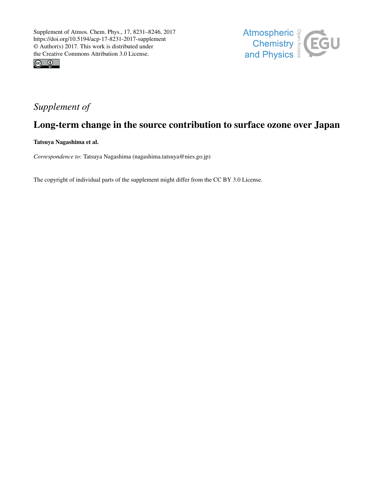



## *Supplement of*

## Long-term change in the source contribution to surface ozone over Japan

Tatsuya Nagashima et al.

*Correspondence to:* Tatsuya Nagashima (nagashima.tatsuya@nies.go.jp)

The copyright of individual parts of the supplement might differ from the CC BY 3.0 License.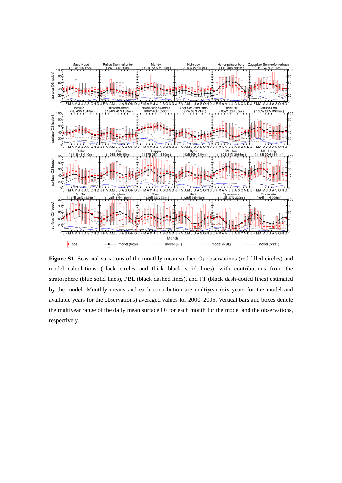

Figure S1. Seasonal variations of the monthly mean surface O<sub>3</sub> observations (red filled circles) and model calculations (black circles and thick black solid lines), with contributions from the stratosphere (blue solid lines), PBL (black dashed lines), and FT (black dash-dotted lines) estimated by the model. Monthly means and each contribution are multiyear (six years for the model and available years for the observations) averaged values for 2000–2005. Vertical bars and boxes denote the multiyear range of the daily mean surface  $O<sub>3</sub>$  for each month for the model and the observations, respectively.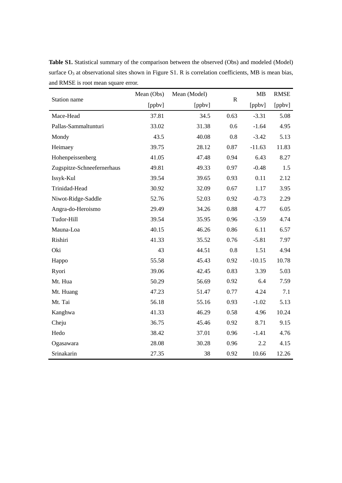Table S1. Statistical summary of the comparison between the observed (Obs) and modeled (Model) surface O<sub>3</sub> at observational sites shown in Figure S1. R is correlation coefficients, MB is mean bias, and RMSE is root mean square error.

| Station name               | Mean (Obs) | Mean (Model) | $\mathbf R$ | MB       | <b>RMSE</b> |
|----------------------------|------------|--------------|-------------|----------|-------------|
|                            | [ppbv]     | [ppbv]       |             | [ppbv]   | [ppbv]      |
| Mace-Head                  | 37.81      | 34.5         | 0.63        | $-3.31$  | 5.08        |
| Pallas-Sammaltunturi       | 33.02      | 31.38        | 0.6         | $-1.64$  | 4.95        |
| Mondy                      | 43.5       | 40.08        | 0.8         | $-3.42$  | 5.13        |
| Heimaey                    | 39.75      | 28.12        | 0.87        | $-11.63$ | 11.83       |
| Hohenpeissenberg           | 41.05      | 47.48        | 0.94        | 6.43     | 8.27        |
| Zugspitze-Schneefernerhaus | 49.81      | 49.33        | 0.97        | $-0.48$  | 1.5         |
| Issyk-Kul                  | 39.54      | 39.65        | 0.93        | 0.11     | 2.12        |
| Trinidad-Head              | 30.92      | 32.09        | 0.67        | 1.17     | 3.95        |
| Niwot-Ridge-Saddle         | 52.76      | 52.03        | 0.92        | $-0.73$  | 2.29        |
| Angra-do-Heroismo          | 29.49      | 34.26        | 0.88        | 4.77     | 6.05        |
| Tudor-Hill                 | 39.54      | 35.95        | 0.96        | $-3.59$  | 4.74        |
| Mauna-Loa                  | 40.15      | 46.26        | 0.86        | 6.11     | 6.57        |
| Rishiri                    | 41.33      | 35.52        | 0.76        | $-5.81$  | 7.97        |
| Oki                        | 43         | 44.51        | 0.8         | 1.51     | 4.94        |
| Happo                      | 55.58      | 45.43        | 0.92        | $-10.15$ | 10.78       |
| Ryori                      | 39.06      | 42.45        | 0.83        | 3.39     | 5.03        |
| Mt. Hua                    | 50.29      | 56.69        | 0.92        | 6.4      | 7.59        |
| Mt. Huang                  | 47.23      | 51.47        | 0.77        | 4.24     | 7.1         |
| Mt. Tai                    | 56.18      | 55.16        | 0.93        | $-1.02$  | 5.13        |
| Kanghwa                    | 41.33      | 46.29        | 0.58        | 4.96     | 10.24       |
| Cheju                      | 36.75      | 45.46        | 0.92        | 8.71     | 9.15        |
| Hedo                       | 38.42      | 37.01        | 0.96        | $-1.41$  | 4.76        |
| Ogasawara                  | 28.08      | 30.28        | 0.96        | 2.2      | 4.15        |
| Srinakarin                 | 27.35      | 38           | 0.92        | 10.66    | 12.26       |